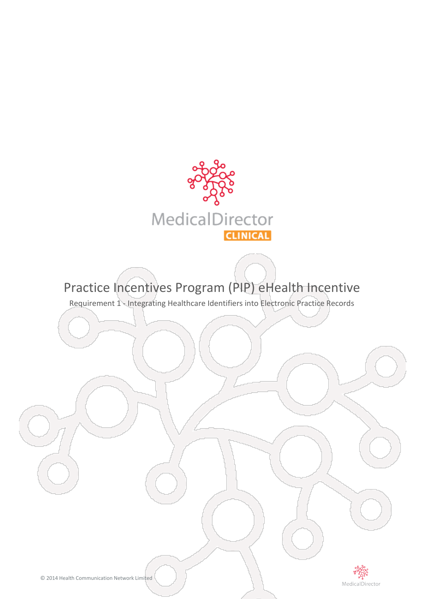

# Practice Incentives Program (PIP) eHealth Incentive

Requirement 1 - Integrating Healthcare Identifiers into Electronic Practice Records

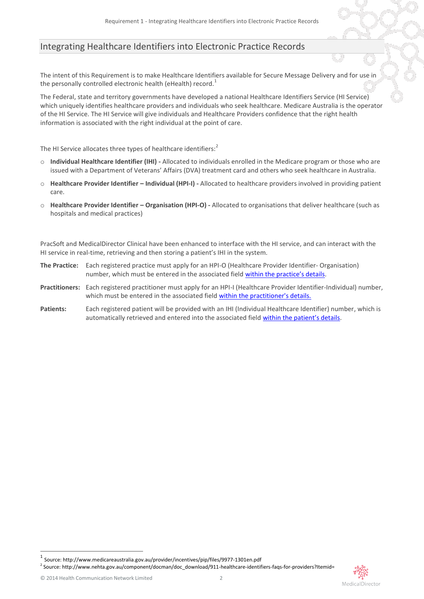# Integrating Healthcare Identifiers into Electronic Practice Records

The intent of this Requirement is to make Healthcare Identifiers available for Secure Message Delivery and for use in the personally controlled electronic health (eHealth) record.<sup>1</sup>

The Federal, state and territory governments have developed a national Healthcare Identifiers Service (HI Service) which uniquely identifies healthcare providers and individuals who seek healthcare. Medicare Australia is the operator of the HI Service. The HI Service will give individuals and Healthcare Providers confidence that the right health information is associated with the right individual at the point of care.

The HI Service allocates three types of healthcare identifiers:<sup>2</sup>

- o **Individual Healthcare Identifier (IHI) -** Allocated to individuals enrolled in the Medicare program or those who are issued with a Department of Veterans' Affairs (DVA) treatment card and others who seek healthcare in Australia.
- o **Healthcare Provider Identifier – Individual (HPI-I) -** Allocated to healthcare providers involved in providing patient care.
- o **Healthcare Provider Identifier – Organisation (HPI-O) -** Allocated to organisations that deliver healthcare (such as hospitals and medical practices)

PracSoft and MedicalDirector Clinical have been enhanced to interface with the HI service, and can interact with the HI service in real-time, retrieving and then storing a patient's IHI in the system.

- **The Practice:** Each registered practice must apply for an HPI-O (Healthcare Provider Identifier- Organisation) number, which must be entered in the associated field [within the practice's details](#page-4-0).
- **Practitioners:** Each registered practitioner must apply for an HPI-I (Healthcare Provider Identifier-Individual) number, which must be entered in the associated fiel[d within the practitioner's details.](#page-7-0)
- **Patients:** Each registered patient will be provided with an IHI (Individual Healthcare Identifier) number, which is automatically retrieved and entered into the associated field [within the patient's details](#page-8-0).

<u>.</u>

<sup>1</sup> Source: http://www.medicareaustralia.gov.au/provider/incentives/pip/files/9977-1301en.pdf

<sup>&</sup>lt;sup>2</sup> Source: http://www.nehta.gov.au/component/docman/doc\_download/911-healthcare-identifiers-faqs-for-providers?Itemid=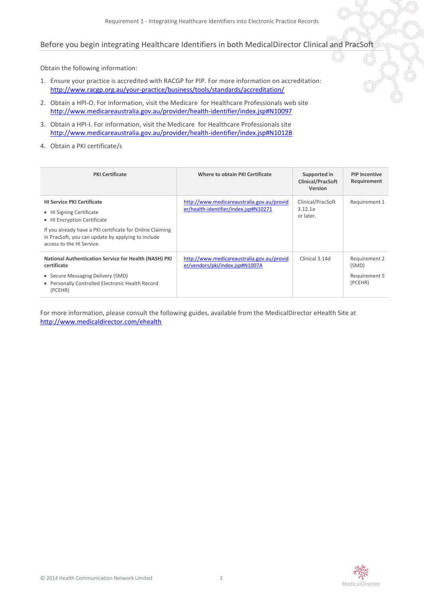## Before you begin integrating Healthcare Identifiers in both MedicalDirector Clinical and PracSoft

Obtain the following information:

- 1. Ensure your practice is accredited with RACGP for PIP. For more information on accreditation: <http://www.racgp.org.au/your-practice/business/tools/standards/accreditation/>
- 2. Obtain a HPI-O. For information, visit the Medicare for Healthcare Professionals web site <http://www.medicareaustralia.gov.au/provider/health-identifier/index.jsp#N10097>
- 3. Obtain a HPI-I. For information, visit the Medicare for Healthcare Professionals site <http://www.medicareaustralia.gov.au/provider/health-identifier/index.jsp#N1012B>
- 4. Obtain a PKI certificate/s

| <b>PKI Certificate</b>                                                                                                                                                                                                                       | Where to obtain PKI Certificate                                                     | Supported in<br><b>Clinical/PracSoft</b><br>Version | <b>PIP Incentive</b><br>Requirement                |
|----------------------------------------------------------------------------------------------------------------------------------------------------------------------------------------------------------------------------------------------|-------------------------------------------------------------------------------------|-----------------------------------------------------|----------------------------------------------------|
| <b>HI Service PKI Certificate</b><br>• HI Signing Certificate<br>• HI Encryption Certificate<br>If you already have a PKI certificate for Online Claiming<br>in PracSoft, you can update by applying to include<br>access to the HI Service. | http://www.medicareaustralia.gov.au/provid<br>er/health-identifier/index.jsp#N10271 | Clinical/PracSoft<br>3.12.1a<br>or later.           | Requirement 1                                      |
| <b>National Authentication Service for Health (NASH) PKI</b><br>certificate<br>• Secure Messaging Delivery (SMD)<br>• Personally Controlled Electronic Health Record<br>(PCEHR)                                                              | http://www.medicareaustralia.gov.au/provid<br>er/vendors/pki/index.jsp#N1007A       | Clinical 3.14d                                      | Requirement 2<br>(SMD)<br>Requirement 5<br>(PCEHR) |

For more information, please consult the following guides, available from the MedicalDirector eHealth Site at <http://www.medicaldirector.com/ehealth>

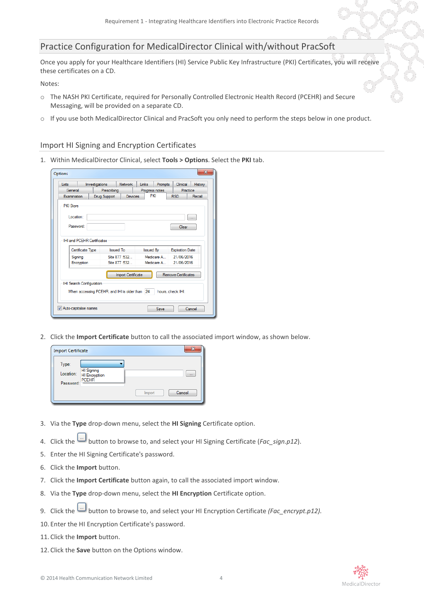# Practice Configuration for MedicalDirector Clinical with/without PracSoft

Once you apply for your Healthcare Identifiers (HI) Service Public Key Infrastructure (PKI) Certificates, you will receive these certificates on a CD.

Notes:

- o The NASH PKI Certificate, required for Personally Controlled Electronic Health Record (PCEHR) and Secure Messaging, will be provided on a separate CD.
- o If you use both MedicalDirector Clinical and PracSoft you only need to perform the steps below in one product.

#### Import HI Signing and Encryption Certificates

1. Within MedicalDirector Clinical, select **Tools > Options**. Select the **PKI** tab.

| General<br>Prescribing<br>Progress notes<br>Practice<br>PKI<br>Examination<br>Devices<br><b>RSD</b><br>Recall<br>Drug Support<br><b>PKI</b> Store<br>Location:<br>m.<br>Password:<br>Clear<br><b>IHI and PCEHR Certificates</b><br>Issued To<br>Certificate Type<br><b>Issued By</b><br><b>Expiration Date</b><br>Site 877:532<br>21/06/2016<br>Medicare A<br>Signing<br>Medicare A<br>21/06/2016<br>Site 877:532<br>Encryption<br><b>Remove Certificates</b><br><b>Import Certificate</b><br><b>IHI Search Configuration</b><br>When accessing PCEHR, and IHI is older than 24<br>hours, check IHI. | Lists | Investigations | <b>Network</b> | Links | Prompts | Clinical | History |
|------------------------------------------------------------------------------------------------------------------------------------------------------------------------------------------------------------------------------------------------------------------------------------------------------------------------------------------------------------------------------------------------------------------------------------------------------------------------------------------------------------------------------------------------------------------------------------------------------|-------|----------------|----------------|-------|---------|----------|---------|
|                                                                                                                                                                                                                                                                                                                                                                                                                                                                                                                                                                                                      |       |                |                |       |         |          |         |
|                                                                                                                                                                                                                                                                                                                                                                                                                                                                                                                                                                                                      |       |                |                |       |         |          |         |
|                                                                                                                                                                                                                                                                                                                                                                                                                                                                                                                                                                                                      |       |                |                |       |         |          |         |
|                                                                                                                                                                                                                                                                                                                                                                                                                                                                                                                                                                                                      |       |                |                |       |         |          |         |
|                                                                                                                                                                                                                                                                                                                                                                                                                                                                                                                                                                                                      |       |                |                |       |         |          |         |
|                                                                                                                                                                                                                                                                                                                                                                                                                                                                                                                                                                                                      |       |                |                |       |         |          |         |
|                                                                                                                                                                                                                                                                                                                                                                                                                                                                                                                                                                                                      |       |                |                |       |         |          |         |
|                                                                                                                                                                                                                                                                                                                                                                                                                                                                                                                                                                                                      |       |                |                |       |         |          |         |
|                                                                                                                                                                                                                                                                                                                                                                                                                                                                                                                                                                                                      |       |                |                |       |         |          |         |
|                                                                                                                                                                                                                                                                                                                                                                                                                                                                                                                                                                                                      |       |                |                |       |         |          |         |
|                                                                                                                                                                                                                                                                                                                                                                                                                                                                                                                                                                                                      |       |                |                |       |         |          |         |
|                                                                                                                                                                                                                                                                                                                                                                                                                                                                                                                                                                                                      |       |                |                |       |         |          |         |
|                                                                                                                                                                                                                                                                                                                                                                                                                                                                                                                                                                                                      |       |                |                |       |         |          |         |
|                                                                                                                                                                                                                                                                                                                                                                                                                                                                                                                                                                                                      |       |                |                |       |         |          |         |
|                                                                                                                                                                                                                                                                                                                                                                                                                                                                                                                                                                                                      |       |                |                |       |         |          |         |
|                                                                                                                                                                                                                                                                                                                                                                                                                                                                                                                                                                                                      |       |                |                |       |         |          |         |
|                                                                                                                                                                                                                                                                                                                                                                                                                                                                                                                                                                                                      |       |                |                |       |         |          |         |
|                                                                                                                                                                                                                                                                                                                                                                                                                                                                                                                                                                                                      |       |                |                |       |         |          |         |

2. Click the **Import Certificate** button to call the associated import window, as shown below.

| <b>Import Certificate</b>                        |                                             |        |        |
|--------------------------------------------------|---------------------------------------------|--------|--------|
| Type:<br><u> Linda</u><br>Location:<br>Password: | HI Signing<br>HI Encryption<br><b>PCEHR</b> |        | $\sim$ |
|                                                  |                                             | Import | Cancel |

- 3. Via the **Type** drop-down menu, select the **HI Signing** Certificate option.
- 4. Click the **button to browse to, and select your HI Signing Certificate (***Fac\_sign.p12***).**
- 5. Enter the HI Signing Certificate's password.
- 6. Click the **Import** button.
- 7. Click the **Import Certificate** button again, to call the associated import window.
- 8. Via the **Type** drop-down menu, select the **HI Encryption** Certificate option.
- 9. Click the button to browse to, and select your HI Encryption Certificate *(Fac\_encrypt.p12).*
- 10. Enter the HI Encryption Certificate's password.
- 11. Click the **Import** button.
- 12. Click the **Save** button on the Options window.

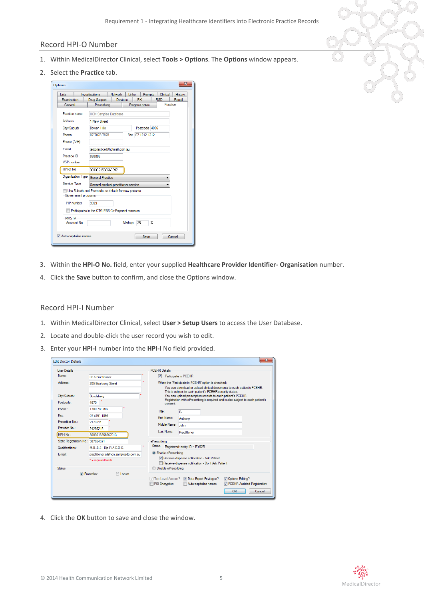#### Record HPI-O Number

- 1. Within MedicalDirector Clinical, select **Tools > Options**. The **Options** window appears.
- 2. Select the **Practice** tab.



- 3. Within the **HPI-O No.** field, enter your supplied **Healthcare Provider Identifier- Organisation** number.
- <span id="page-4-0"></span>4. Click the **Save** button to confirm, and close the Options window.

#### Record HPI-I Number

- 1. Within MedicalDirector Clinical, select **User > Setup Users** to access the User Database.
- 2. Locate and double-click the user record you wish to edit.
- 3. Enter your **HPI-I** number into the **HPI-I** No field provided.

| <b>Liser Details</b>                                              |                                                                                          | <b>PCEHR Details</b>                                                                                                                                                                                        |
|-------------------------------------------------------------------|------------------------------------------------------------------------------------------|-------------------------------------------------------------------------------------------------------------------------------------------------------------------------------------------------------------|
| Name:                                                             | Dr A Practitioner                                                                        | $\overline{\mathbf{v}}$<br>Participate in PCEHR                                                                                                                                                             |
| Address:                                                          | 205 Bourbong Street                                                                      | When the 'Participate in PCEHR' option is checked:<br>- You can download or upload clinical documents to each patient's PCEHR.<br>This is subject to each patient's PCEHR security status.                  |
| City/Suburb:<br>Postcode:                                         | Bundaberg<br>4670                                                                        | - You can upload prescription records to each patient's PCEHR.<br>Registration with ePrescribing is required and is also subject to each patient's<br>consent.                                              |
| Phone:<br>Fax:<br>Prescriber No. :<br>Provider No :<br>HPI-I No - | 1300 788 802<br>07 4151 1896<br>2173711<br>2426621B<br>8003616566667013                  | Title:<br>Dr<br>First Name:<br>Anthony<br>Middle Name:<br>John<br>Last Name:<br>Practitioner                                                                                                                |
| State Registration No.: 987654321<br>Qualifications:<br>E-mail:   | M.B., B.S., Dip R.A.C.O.G.<br>practitioner.a@hcn.samplesdb.com.au<br>* = required fields | ePrescribing<br><b>Status</b><br>Registered: entity ID = RY62R<br><b>O</b> Enable ePrescribing<br>Receive dispense notification - Ask Patient<br>Receive dispense notification - Dont Ask Patient           |
| <b>Status</b>                                                     | <b>O</b> Prescriber<br>C Locum                                                           | Disable ePrescribing<br>∩<br><b>√</b> Top Level Access?<br>V Options Editing?<br>Data Export Privileges?<br>PKI Encryption<br>Auto-capitalise names<br><b>V</b> PCEHR Assisted Registration<br>Cancel<br>OK |

4. Click the **OK** button to save and close the window.

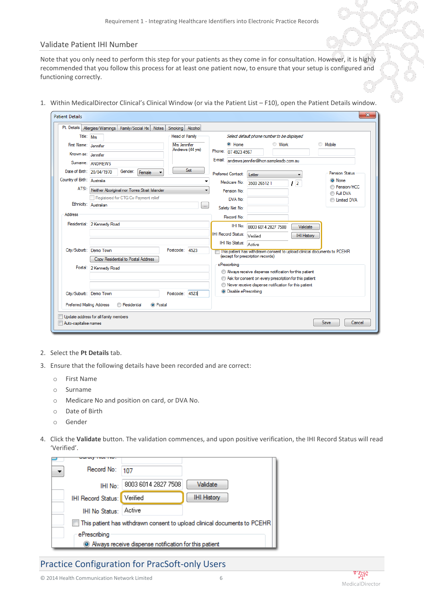#### Validate Patient IHI Number

Note that you only need to perform this step for your patients as they come in for consultation. However, it is highly recommended that you follow this process for at least one patient now, to ensure that your setup is configured and functioning correctly.

1. Within MedicalDirector Clinical's Clinical Window (or via the Patient List – F10), open the Patient Details window.

| Title: Mrs                  |                                               | Head of Family    |                               | Select default phone number to be displayed                                 |                    |                                |
|-----------------------------|-----------------------------------------------|-------------------|-------------------------------|-----------------------------------------------------------------------------|--------------------|--------------------------------|
| First Name: Jennifer        |                                               | Mrs Jennifer      | C Home                        | <b>Work</b>                                                                 | ⊙                  | Mobile                         |
| Known as: Jennifer          |                                               | Andrews (44 yrs)  | Phone: 07 4923 4567           |                                                                             |                    |                                |
|                             | Sumame: ANDREWS                               |                   |                               | E-mail: andrews.jennifer@hcn.samplesdb.com.au                               |                    |                                |
| Date of Birth: 20/04/1970   | Gender:<br>Female                             | Set               | <b>Preferred Contact:</b>     | Letter                                                                      |                    | <b>Pension Status</b>          |
| Country of Birth: Australia |                                               |                   | Medicare No:                  | 3500 26512 1                                                                | 12                 | C None                         |
| ATSI:                       | Neither Aboriginal nor Torres Strait Islander |                   | Pension No:                   |                                                                             |                    | Pension/HCC<br><b>Eull DVA</b> |
|                             | Registered for CTG Co-Payment relief          |                   | DVA No:                       |                                                                             |                    | <b>Imited DVA</b>              |
|                             | Ethnicity: Australian                         | $\cdots$          | Safety Net No:                |                                                                             |                    |                                |
| Address                     |                                               |                   | Record No:                    |                                                                             |                    |                                |
|                             | Residential: 2 Kennedy Road                   |                   | IHI No:                       | 8003 6014 2827 7508                                                         | Validate           |                                |
|                             |                                               |                   | <b>IHI Record Status:</b>     | Verified                                                                    | <b>IHI History</b> |                                |
|                             |                                               |                   | IHI No Status:                | Active                                                                      |                    |                                |
| City/Suburb: Demo Town      |                                               | Postcode:<br>4523 |                               | TI This patient has withdrawn consent to upload clinical documents to PCEHR |                    |                                |
|                             | Copy Residential to Postal Address            |                   |                               | (except for prescription records)                                           |                    |                                |
|                             | Postal: 2 Kennedy Road                        |                   | ePrescribina                  | Aways receive dispense notification for this patient                        |                    |                                |
|                             |                                               |                   |                               | Ask for consent on every prescription for this patient                      |                    |                                |
|                             |                                               |                   |                               | Never receive dispense notification for this patient                        |                    |                                |
| City/Suburb: Demo Town      |                                               | 4523<br>Postcode: | <b>O</b> Disable ePrescribing |                                                                             |                    |                                |
| Preferred Mailing Address   | <b>Residential</b><br>C Postal                |                   |                               |                                                                             |                    |                                |
|                             |                                               |                   |                               |                                                                             |                    |                                |

- 2. Select the **Pt Details** tab.
- 3. Ensure that the following details have been recorded and are correct:
	- o First Name
	- o Surname
	- o Medicare No and position on card, or DVA No.
	- o Date of Birth
	- o Gender
- 4. Click the **Validate** button. The validation commences, and upon positive verification, the IHI Record Status will read 'Verified'.



# Practice Configuration for PracSoft-only Users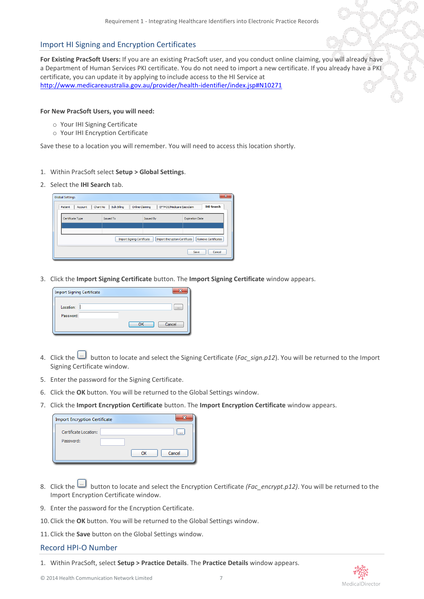#### Import HI Signing and Encryption Certificates

**For Existing PracSoft Users:** If you are an existing PracSoft user, and you conduct online claiming, you will already have a Department of Human Services PKI certificate. You do not need to import a new certificate. If you already have a PKI certificate, you can update it by applying to include access to the HI Service at <http://www.medicareaustralia.gov.au/provider/health-identifier/index.jsp#N10271>

#### **For New PracSoft Users, you will need:**

- o Your IHI Signing Certificate
- o Your IHI Encryption Certificate

Save these to a location you will remember. You will need to access this location shortly.

- 1. Within PracSoft select **Setup > Global Settings**.
- 2. Select the **IHI Search** tab.

| <b>Global Settings</b>                                                                           |                                                    |                           | $\mathbf{x}$           |  |  |  |  |  |
|--------------------------------------------------------------------------------------------------|----------------------------------------------------|---------------------------|------------------------|--|--|--|--|--|
| Chart No<br>Patient<br>Account                                                                   | <b>Bulk Billing</b><br><b>Online Claiming</b><br>Ш | EFTPOS/Medicare Easyclaim | <b>IHI Search</b>      |  |  |  |  |  |
| Certificate Type                                                                                 | <b>Issued To</b>                                   | <b>Issued By</b>          | <b>Expiration Date</b> |  |  |  |  |  |
|                                                                                                  |                                                    |                           |                        |  |  |  |  |  |
| Import Encryption Certificate<br><b>Remove Certificates</b><br><b>Import Signing Certificate</b> |                                                    |                           |                        |  |  |  |  |  |
|                                                                                                  |                                                    |                           | Cancel<br>Save         |  |  |  |  |  |

3. Click the **Import Signing Certificate** button. The **Import Signing Certificate** window appears.

| <b>Import Signing Certificate</b> |              |
|-----------------------------------|--------------|
| Location:                         | $\cdots$     |
| Password:                         | Cancel<br>OK |

- 4. Click the button to locate and select the Signing Certificate (*Fac\_sign.p12*). You will be returned to the Import Signing Certificate window.
- 5. Enter the password for the Signing Certificate.
- 6. Click the **OK** button. You will be returned to the Global Settings window.
- 7. Click the **Import Encryption Certificate** button. The **Import Encryption Certificate** window appears.

| <b>Import Encryption Certificate</b> |    |        |
|--------------------------------------|----|--------|
| Certificate Location:                |    | 1.11   |
| Password:                            |    |        |
|                                      | OK | Cancel |

- 8. Click the button to locate and select the Encryption Certificate *(Fac\_encrypt.p12)*. You will be returned to the Import Encryption Certificate window.
- 9. Enter the password for the Encryption Certificate.
- 10. Click the **OK** button. You will be returned to the Global Settings window.
- 11. Click the **Save** button on the Global Settings window.

## Record HPI-O Number

1. Within PracSoft, select **Setup > Practice Details**. The **Practice Details** window appears.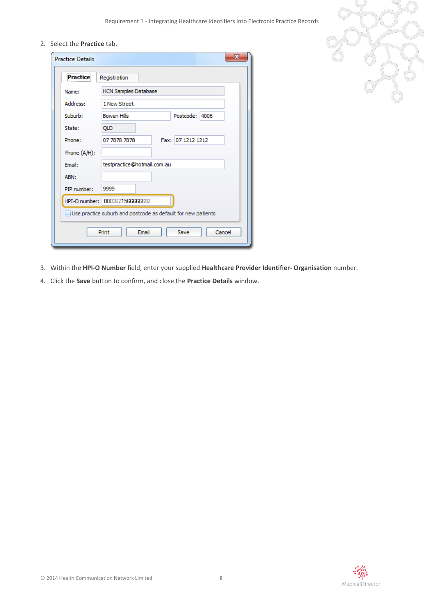2. Select the **Practice** tab.

| <b>Practice Details</b> | $\mathbf x$                                                  |  |  |  |  |  |  |
|-------------------------|--------------------------------------------------------------|--|--|--|--|--|--|
| <b>Practice</b>         | Registration                                                 |  |  |  |  |  |  |
| Name:                   | <b>HCN Samples Database</b>                                  |  |  |  |  |  |  |
| Address:                | 1 New Street                                                 |  |  |  |  |  |  |
| Suburb:                 | <b>Bowen Hills</b><br>Postcode: 4006                         |  |  |  |  |  |  |
| State:                  | <b>QLD</b>                                                   |  |  |  |  |  |  |
| Phone:                  | Fax: 07 1212 1212<br>07 7878 7878                            |  |  |  |  |  |  |
| Phone (A/H):            |                                                              |  |  |  |  |  |  |
| Email:                  | testpractice@hotmail.com.au                                  |  |  |  |  |  |  |
| ABN:                    |                                                              |  |  |  |  |  |  |
| PIP number:             | 9999                                                         |  |  |  |  |  |  |
|                         | HPI-O number: 8003621566666692                               |  |  |  |  |  |  |
|                         | Use practice suburb and postcode as default for new patients |  |  |  |  |  |  |
|                         | Email<br>Cancel<br>Save<br>Print                             |  |  |  |  |  |  |

- 3. Within the **HPI-O Number** field, enter your supplied **Healthcare Provider Identifier- Organisation** number.
- <span id="page-7-0"></span>4. Click the **Save** button to confirm, and close the **Practice Details** window.

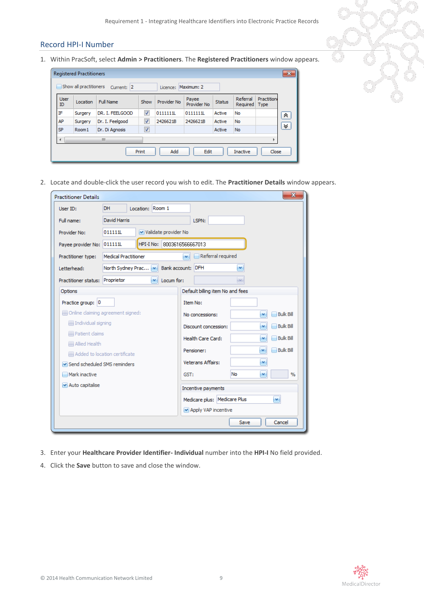## <span id="page-8-0"></span>Record HPI-I Number

1. Within PracSoft, select **Admin > Practitioners**. The **Registered Practitioners** window appears.

|                   | <b>Registered Practitioners</b> |                 |                      |             |                      |               |                      |                           | $\mathbf{x}$ |
|-------------------|---------------------------------|-----------------|----------------------|-------------|----------------------|---------------|----------------------|---------------------------|--------------|
|                   | Show all practitioners          | Current: 2      |                      | Licence:    | Maximum: 2           |               |                      |                           |              |
| <b>User</b><br>ID | Location                        | Full Name       | Show                 | Provider No | Payee<br>Provider No | <b>Status</b> | Referral<br>Required | Practition<br><b>Type</b> |              |
| ΙF                | Surgery                         | DR. I. FEELGOOD | $\blacktriangledown$ | 01111111    | 01111111             | Active        | No                   |                           | °            |
| AP                | Surgery                         | Dr. I. Feelgood | √                    | 2426621B    | 2426621B             | Active        | No                   |                           |              |
| <b>SP</b>         | Room <sub>1</sub>               | Dr. Di Agnosis  | √                    |             |                      | Active        | No                   |                           | ∀            |
| ∢                 | ш<br>r                          |                 |                      |             |                      |               |                      |                           |              |
|                   |                                 |                 | Print                | Add         | Edit                 |               | Inactive             | Close                     |              |

2. Locate and double-click the user record you wish to edit. The **Practitioner Details** window appears.

| <b>Practitioner Details</b>       |                      |                  |              |                        |                 |                                  |      |   | $\mathbf x$      |
|-----------------------------------|----------------------|------------------|--------------|------------------------|-----------------|----------------------------------|------|---|------------------|
| User ID:                          | DH.                  | Location: Room 1 |              |                        |                 |                                  |      |   |                  |
| Full name:                        | David Harris         |                  |              |                        |                 | LSPN:                            |      |   |                  |
| Provider No:                      | 011111L              |                  |              | M Validate provider No |                 |                                  |      |   |                  |
| Payee provider No: 011111L        |                      | HPI-I No:        |              | 8003616566667013       |                 |                                  |      |   |                  |
| Practitioner type:                | Medical Practitioner |                  |              |                        | ×               | Referral required                |      |   |                  |
| Letterhead:                       | North Sydney Prac    |                  |              | Bank account: DFH      |                 |                                  | ×    |   |                  |
| Practitioner status:              | Proprietor           |                  | $\mathbf{v}$ | Locum for:             |                 |                                  | ine. |   |                  |
| Options                           |                      |                  |              |                        |                 | Default billing item No and fees |      |   |                  |
| Practice group: 0                 |                      |                  |              |                        | <b>Item No:</b> |                                  |      |   |                  |
| Online claiming agreement signed: |                      |                  |              |                        |                 | No concessions:                  |      | × | <b>Bulk Bill</b> |
| Individual signing                |                      |                  |              |                        |                 | Discount concession:             |      | × | <b>Bulk Bill</b> |
| Patient claims<br>Allied Health   |                      |                  |              |                        |                 | Health Care Card:                |      | × | <b>Bulk Bill</b> |
| Added to location certificate     |                      |                  |              |                        |                 | Pensioner:                       |      | × | <b>Bulk Bill</b> |
| Send scheduled SMS reminders      |                      |                  |              |                        |                 | Veterans Affairs:                |      | × |                  |
| Mark inactive                     |                      |                  |              |                        | GST:            |                                  | No   | × | $\frac{9}{6}$    |
| M Auto capitalise                 |                      |                  |              |                        |                 | Incentive payments               |      |   |                  |
|                                   |                      |                  |              |                        |                 | Medicare plus: Medicare Plus     |      |   | $\mathbf{v}$     |
|                                   |                      |                  |              |                        |                 | M Apply VAP incentive            |      |   |                  |
|                                   |                      |                  |              |                        |                 |                                  | Save |   | Cancel           |

- 3. Enter your **Healthcare Provider Identifier- Individual** number into the **HPI-I** No field provided.
- 4. Click the **Save** button to save and close the window.

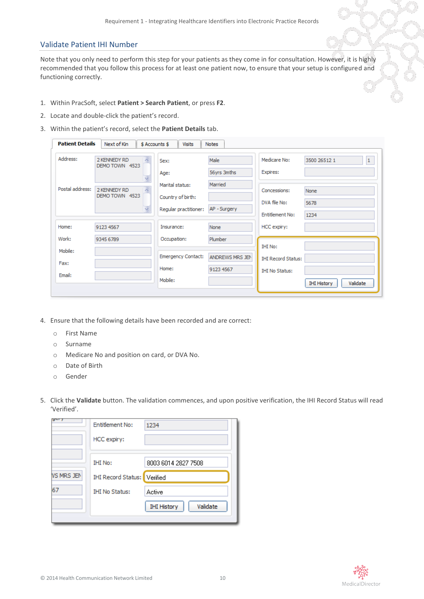## Validate Patient IHI Number

Note that you only need to perform this step for your patients as they come in for consultation. However, it is highly recommended that you follow this process for at least one patient now, to ensure that your setup is configured and functioning correctly.

- 1. Within PracSoft, select **Patient > Search Patient**, or press **F2**.
- 2. Locate and double-click the patient's record.
- 3. Within the patient's record, select the **Patient Details** tab.

| <b>Patient Details</b>      | Next of Kin<br>\$ Accounts \$                                    | <b>Visits</b>                                                                 | <b>Notes</b>                                   |                                                                             |                                                      |
|-----------------------------|------------------------------------------------------------------|-------------------------------------------------------------------------------|------------------------------------------------|-----------------------------------------------------------------------------|------------------------------------------------------|
| Address:<br>Postal address: | 2 KENNEDY RD<br>DEMO TOWN 4523<br>2 KENNEDY RD<br>DEMO TOWN 4523 | Sex:<br>Age:<br>Marital status:<br>Country of birth:<br>Regular practitioner: | Male<br>56yrs 3mths<br>Married<br>AP - Surgery | Medicare No:<br>Expires:<br>Concessions:<br>DVA file No:<br>Entitlement No: | $\mathbf{1}$<br>3500 26512 1<br>None<br>5678<br>1234 |
| Home:                       | 9123 4567                                                        | Insurance:                                                                    | None                                           | HCC expiry:                                                                 |                                                      |
| Work:                       | 9345 6789                                                        | Occupation:                                                                   | Plumber                                        |                                                                             |                                                      |
| Mobile:                     |                                                                  | <b>Emergency Contact:</b>                                                     | ANDREWS MRS JEN                                | <b>IHI No:</b>                                                              |                                                      |
| Fax:                        |                                                                  | Home:                                                                         | 9123 4567                                      | <b>IHI Record Status:</b>                                                   |                                                      |
| Email:                      |                                                                  | Mobile:                                                                       |                                                | <b>IHI No Status:</b>                                                       |                                                      |
|                             |                                                                  |                                                                               |                                                |                                                                             | Validate<br><b>IHI History</b>                       |

- 4. Ensure that the following details have been recorded and are correct:
	- o First Name
	- o Surname
	- o Medicare No and position on card, or DVA No.
	- o Date of Birth
	- o Gender
- 5. Click the **Validate** button. The validation commences, and upon positive verification, the IHI Record Status will read 'Verified'.

| <b>IHI No:</b><br>8003 6014 2827 7508<br><b>VS MRS JEN</b><br><b>IHI Record Status:</b> Verified<br>67<br><b>IHI No Status:</b><br>Active<br>Validate<br><b>IHI History</b> | ਧਾ | <b>Entitlement No:</b><br>HCC expiry: | 1234 |
|-----------------------------------------------------------------------------------------------------------------------------------------------------------------------------|----|---------------------------------------|------|
|                                                                                                                                                                             |    |                                       |      |
|                                                                                                                                                                             |    |                                       |      |